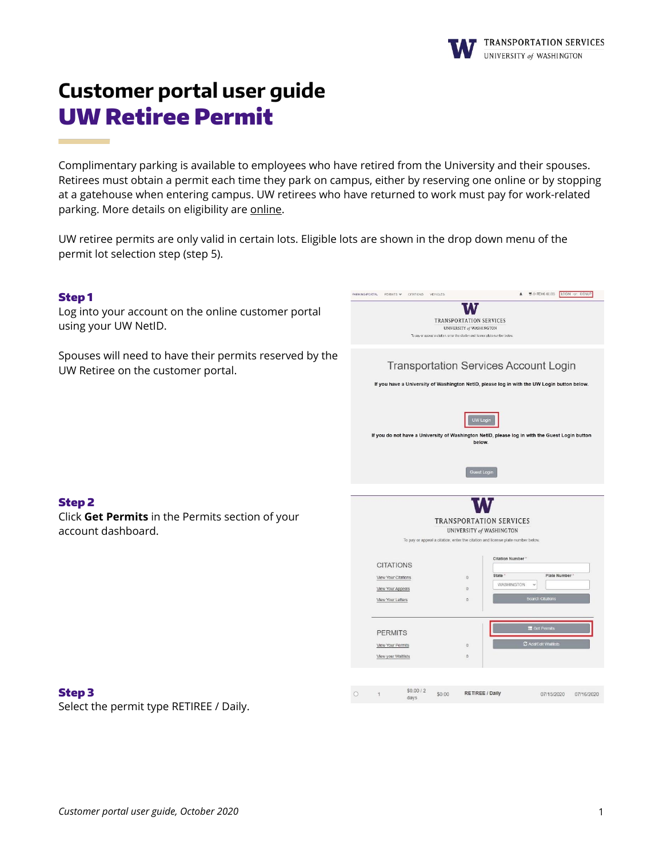

# **Customer portal user guide** UW Retiree Permit

Complimentary parking is available to employees who have retired from the University and their spouses. Retirees must obtain a permit each time they park on campus, either by reserving one online or by stopping at a gatehouse when entering campus. UW retirees who have returned to work must pay for work-related parking. More details on eligibility are [online.](https://transportation.uw.edu/park/visitor/uw-retirees)

UW retiree permits are only valid in certain lots. Eligible lots are shown in the drop down menu of the permit lot selection step (step 5).

### Step 1

**Contract Contract Contract** 

Log into your account on the online customer portal using your UW NetID.

Spouses will need to have their permits reserved by the UW Retiree on the customer portal.

| PERMITS V<br>CITATIONS<br>VEHICLES<br>PARKING PORTAL |                                                                                                             | (0 ITEMS \$0.00)<br>LOGIN <r- signup<="" th=""></r->                                           |
|------------------------------------------------------|-------------------------------------------------------------------------------------------------------------|------------------------------------------------------------------------------------------------|
|                                                      |                                                                                                             |                                                                                                |
|                                                      | <b>TRANSPORTATION SERVICES</b>                                                                              |                                                                                                |
|                                                      | <b>UNIVERSITY of WASHINGTON</b>                                                                             |                                                                                                |
|                                                      | To pay or appeal a citation, enter the citation and license plate number below.                             |                                                                                                |
|                                                      |                                                                                                             |                                                                                                |
|                                                      |                                                                                                             | <b>Transportation Services Account Login</b>                                                   |
|                                                      |                                                                                                             | If you have a University of Washington NetID, please log in with the UW Login button below.    |
|                                                      |                                                                                                             |                                                                                                |
|                                                      |                                                                                                             |                                                                                                |
|                                                      | <b>UW Login</b>                                                                                             |                                                                                                |
|                                                      |                                                                                                             | If you do not have a University of Washington NetID, please log in with the Guest Login button |
|                                                      | below.                                                                                                      |                                                                                                |
|                                                      |                                                                                                             |                                                                                                |
|                                                      | <b>Guest Login</b>                                                                                          |                                                                                                |
|                                                      |                                                                                                             |                                                                                                |
|                                                      |                                                                                                             |                                                                                                |
|                                                      |                                                                                                             |                                                                                                |
|                                                      |                                                                                                             |                                                                                                |
|                                                      | <b>TRANSPORTATION SERVICES</b>                                                                              |                                                                                                |
|                                                      | UNIVERSITY of WASHINGTON<br>To pay or appeal a citation, enter the citation and license plate number below. |                                                                                                |
|                                                      |                                                                                                             |                                                                                                |
|                                                      |                                                                                                             | <b>Citation Number*</b>                                                                        |
| <b>CITATIONS</b>                                     |                                                                                                             |                                                                                                |
| View Your Citations                                  | State -<br>$\Omega$                                                                                         | Plate Number<br>WASHINGTON<br>$\checkmark$                                                     |
| View Your Appeals                                    | $\circ$                                                                                                     |                                                                                                |
| View Your Letters                                    | $\Omega$                                                                                                    | <b>Search Citations</b>                                                                        |
|                                                      |                                                                                                             |                                                                                                |
|                                                      |                                                                                                             | Get Permits                                                                                    |
| <b>PERMITS</b>                                       |                                                                                                             |                                                                                                |
| View Your Permits                                    | $\Omega$                                                                                                    | C Add/Edit Waitlists                                                                           |
| View your Waitlists                                  | $\theta$                                                                                                    |                                                                                                |
|                                                      |                                                                                                             |                                                                                                |
|                                                      |                                                                                                             |                                                                                                |
| \$0.00/2<br>$\Omega$<br>\$0.00<br>1<br>days          | <b>RETIREE / Daily</b>                                                                                      | 07/15/2020<br>07/16/2020                                                                       |

## Step 2

Click **Get Permits** in the Permits section of your account dashboard.

#### Step 3

Select the permit type RETIREE / Daily.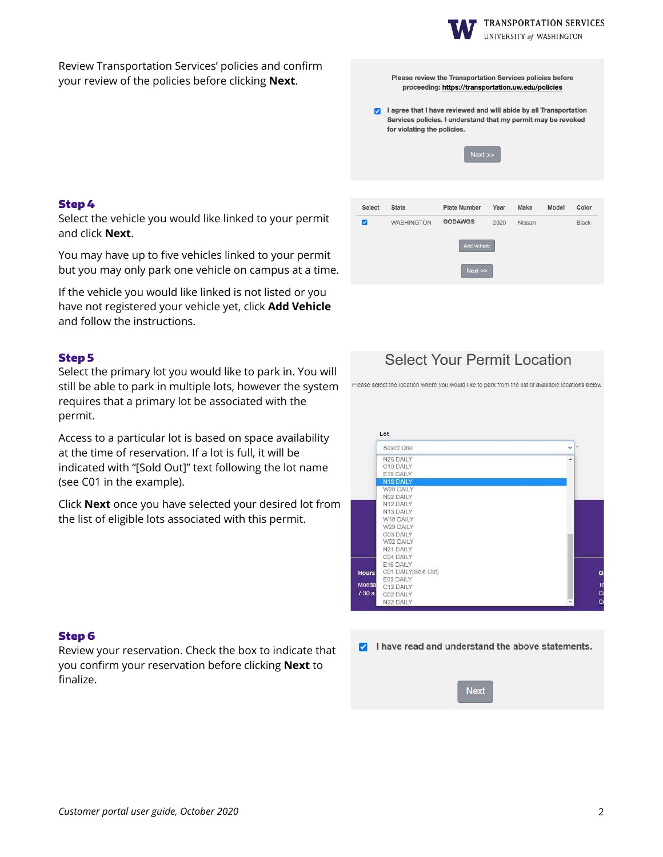

Please review the Transportation Services policies before proceeding: https://transportation.uw.edu/policies

UNIVERSITY of WASHINGTON

Review Transportation Services' policies and confirm your review of the policies before clicking **Next**.

#### Step 4

Select the vehicle you would like linked to your permit and click **Next**.

You may have up to five vehicles linked to your permit but you may only park one vehicle on campus at a time.

If the vehicle you would like linked is not listed or you have not registered your vehicle yet, click **Add Vehicle** and follow the instructions.

#### Step 5

Select the primary lot you would like to park in. You will still be able to park in multiple lots, however the system requires that a primary lot be associated with the permit.

Access to a particular lot is based on space availability at the time of reservation. If a lot is full, it will be indicated with "[Sold Out]" text following the lot name (see C01 in the example).

Click **Next** once you have selected your desired lot from the list of eligible lots associated with this permit.

#### Step 6

Review your reservation. Check the box to indicate that you confirm your reservation before clicking **Next** to finalize.

| Ø                        | I agree that I have reviewed and will abide by all Transportation<br>Services policies. I understand that my permit may be revoked<br>for violating the policies.<br>Next |                     |      |               |       |              |
|--------------------------|---------------------------------------------------------------------------------------------------------------------------------------------------------------------------|---------------------|------|---------------|-------|--------------|
|                          |                                                                                                                                                                           |                     |      |               |       |              |
| <b>Select</b>            | State                                                                                                                                                                     | <b>Plate Number</b> | Year | Make          | Model | Color        |
| $\overline{\mathcal{L}}$ | <b>WASHINGTON</b>                                                                                                                                                         | <b>GODAWGS</b>      | 2020 | <b>Nissan</b> |       | <b>Black</b> |
|                          |                                                                                                                                                                           | <b>Add Vehicle</b>  |      |               |       |              |
|                          |                                                                                                                                                                           | Next                |      |               |       |              |

# Select Your Permit Location

Please select the location where you would like to park from the list of available locations below

| Select One          |  |
|---------------------|--|
| N26 DAILY           |  |
| C10 DAILY           |  |
| E19 DAILY           |  |
| N18 DAILY           |  |
| W28 DAILY           |  |
| N02 DAILY           |  |
| N12 DAILY           |  |
| N13 DAILY           |  |
| W10 DAILY           |  |
| W29 DAILY           |  |
| C03 DAILY           |  |
| W52 DAILY           |  |
| N21 DAILY           |  |
| C04 DAILY           |  |
| E16 DAILY           |  |
| C01 DAILY[Sold Out] |  |
| E03 DAILY           |  |
| C12 DAILY           |  |
| C02 DAILY           |  |
| N22 DAILY           |  |

| I have read and understand the above statements.<br>$\overline{a}$ |
|--------------------------------------------------------------------|
|--------------------------------------------------------------------|

**Next**